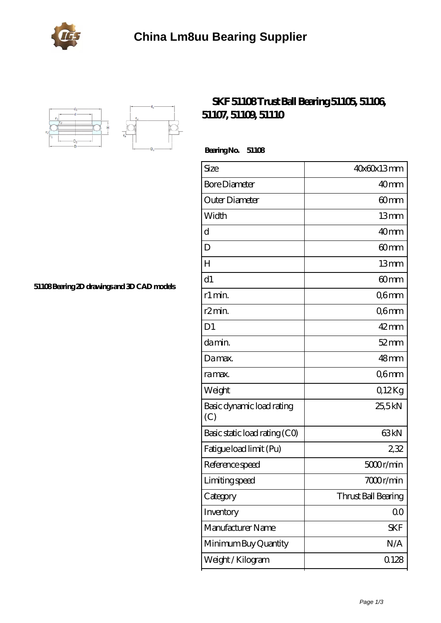



## **[SKF 51108 Trust Ball Bearing 51105, 51106,](https://portalesinmobiliariosinternacionales.com/skf-51108-bearing/) [51107, 51109, 51110](https://portalesinmobiliariosinternacionales.com/skf-51108-bearing/)**

 **Bearing No. 51108**

| Size                             | 40x60x13mm          |
|----------------------------------|---------------------|
| <b>Bore Diameter</b>             | 40 <sub>mm</sub>    |
| Outer Diameter                   | 60mm                |
| Width                            | 13mm                |
| d                                | 40 <sub>mm</sub>    |
| D                                | 60 <sub>mm</sub>    |
| H                                | 13mm                |
| d1                               | 60mm                |
| r1 min.                          | Q6mm                |
| r <sub>2</sub> min.              | Q6mm                |
| D <sub>1</sub>                   | $42$ mm             |
| da min.                          | $52$ mm             |
| Damax.                           | 48 <sub>mm</sub>    |
| ra max.                          | Q6mm                |
| Weight                           | Q12Kg               |
| Basic dynamic load rating<br>(C) | 25,5kN              |
| Basic static load rating (CO)    | 63 <sub>kN</sub>    |
| Fatigue load limit (Pu)          | 232                 |
| Reference speed                  | 5000r/min           |
| Limiting speed                   | 7000r/min           |
| Category                         | Thrust Ball Bearing |
| Inventory                        | 0 <sub>0</sub>      |
| Manufacturer Name                | SKF                 |
| Minimum Buy Quantity             | N/A                 |
| Weight / Kilogram                | 0.128               |
|                                  |                     |

**[51108 Bearing 2D drawings and 3D CAD models](https://portalesinmobiliariosinternacionales.com/pic-667257.html)**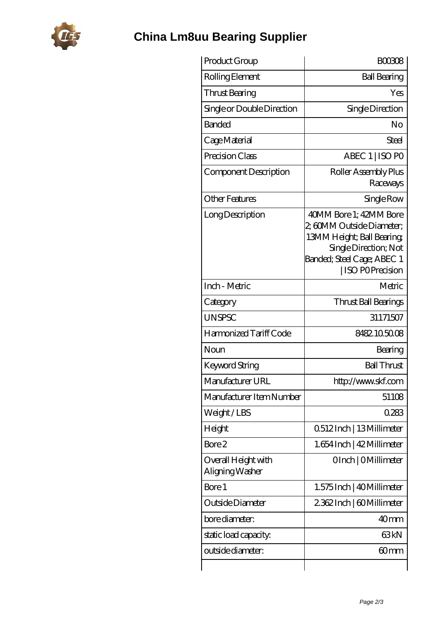

## **[China Lm8uu Bearing Supplier](https://portalesinmobiliariosinternacionales.com)**

| Product Group                          | <b>BOO308</b>                                                                                                                                                      |
|----------------------------------------|--------------------------------------------------------------------------------------------------------------------------------------------------------------------|
| Rolling Element                        | <b>Ball Bearing</b>                                                                                                                                                |
| Thrust Bearing                         | Yes                                                                                                                                                                |
| Single or Double Direction             | Single Direction                                                                                                                                                   |
| <b>Banded</b>                          | No                                                                                                                                                                 |
| Cage Material                          | Steel                                                                                                                                                              |
| Precision Class                        | ABEC 1   ISO PO                                                                                                                                                    |
| Component Description                  | Roller Assembly Plus<br>Raceways                                                                                                                                   |
| <b>Other Features</b>                  | Single Row                                                                                                                                                         |
| Long Description                       | 40MM Bore 1: 42MM Bore<br>2, 60MM Outside Diameter;<br>13MM Height; Ball Bearing;<br>Single Direction; Not<br>Banded; Steel Cage; ABEC 1<br><b>ISO POPrecision</b> |
| Inch - Metric                          | Metric                                                                                                                                                             |
| Category                               | Thrust Ball Bearings                                                                                                                                               |
| <b>UNSPSC</b>                          | 31171507                                                                                                                                                           |
| Harmonized Tariff Code                 | 8482105008                                                                                                                                                         |
| Noun                                   | Bearing                                                                                                                                                            |
| <b>Keyword String</b>                  | <b>Ball Thrust</b>                                                                                                                                                 |
| Manufacturer URL                       | http://www.skf.com                                                                                                                                                 |
| Manufacturer Item Number               | 51108                                                                                                                                                              |
| Weight/LBS                             | 0283                                                                                                                                                               |
| Height                                 | 0512Inch   13Millimeter                                                                                                                                            |
| Bore 2                                 | 1.654 Inch   42 Millimeter                                                                                                                                         |
| Overall Height with<br>Aligning Washer | OInch   OMillimeter                                                                                                                                                |
| Bore 1                                 | 1.575 Inch   40 Millimeter                                                                                                                                         |
| Outside Diameter                       | 2362Inch   60Millimeter                                                                                                                                            |
| bore diameter:                         | 40 <sub>mm</sub>                                                                                                                                                   |
| static load capacity:                  | 63 <sub>kN</sub>                                                                                                                                                   |
| outside diameter:                      | 60mm                                                                                                                                                               |
|                                        |                                                                                                                                                                    |